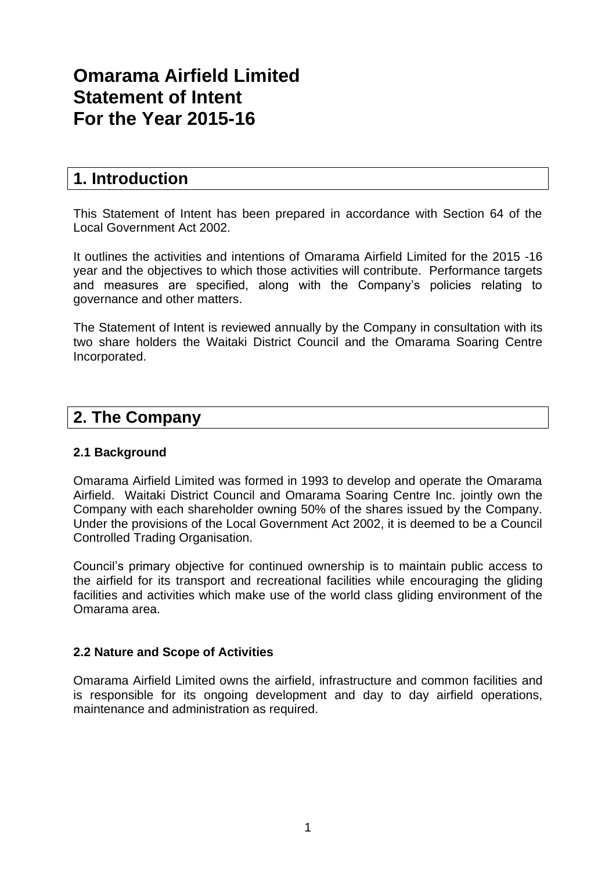# **Omarama Airfield Limited Statement of Intent For the Year 2015-16**

# **1. Introduction**

This Statement of Intent has been prepared in accordance with Section 64 of the Local Government Act 2002.

It outlines the activities and intentions of Omarama Airfield Limited for the 2015 -16 year and the objectives to which those activities will contribute. Performance targets and measures are specified, along with the Company's policies relating to governance and other matters.

The Statement of Intent is reviewed annually by the Company in consultation with its two share holders the Waitaki District Council and the Omarama Soaring Centre Incorporated.

# **2. The Company**

# **2.1 Background**

Omarama Airfield Limited was formed in 1993 to develop and operate the Omarama Airfield. Waitaki District Council and Omarama Soaring Centre Inc. jointly own the Company with each shareholder owning 50% of the shares issued by the Company. Under the provisions of the Local Government Act 2002, it is deemed to be a Council Controlled Trading Organisation.

Council's primary objective for continued ownership is to maintain public access to the airfield for its transport and recreational facilities while encouraging the gliding facilities and activities which make use of the world class gliding environment of the Omarama area.

#### **2.2 Nature and Scope of Activities**

Omarama Airfield Limited owns the airfield, infrastructure and common facilities and is responsible for its ongoing development and day to day airfield operations, maintenance and administration as required.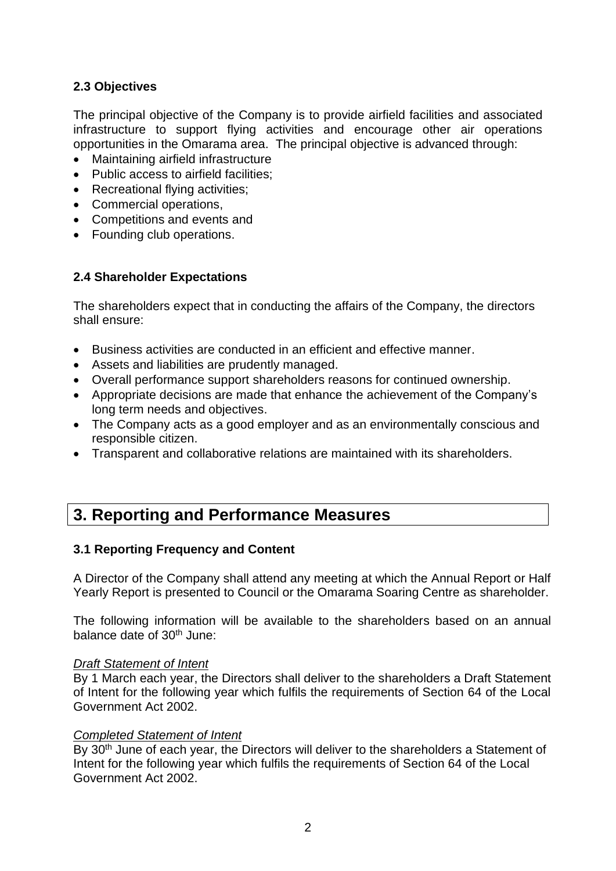# **2.3 Objectives**

The principal objective of the Company is to provide airfield facilities and associated infrastructure to support flying activities and encourage other air operations opportunities in the Omarama area. The principal objective is advanced through:

- Maintaining airfield infrastructure
- Public access to airfield facilities;
- Recreational flying activities:
- Commercial operations,
- Competitions and events and
- Founding club operations.

# **2.4 Shareholder Expectations**

The shareholders expect that in conducting the affairs of the Company, the directors shall ensure:

- Business activities are conducted in an efficient and effective manner.
- Assets and liabilities are prudently managed.
- Overall performance support shareholders reasons for continued ownership.
- Appropriate decisions are made that enhance the achievement of the Company's long term needs and objectives.
- The Company acts as a good employer and as an environmentally conscious and responsible citizen.
- Transparent and collaborative relations are maintained with its shareholders.

# **3. Reporting and Performance Measures**

# **3.1 Reporting Frequency and Content**

A Director of the Company shall attend any meeting at which the Annual Report or Half Yearly Report is presented to Council or the Omarama Soaring Centre as shareholder.

The following information will be available to the shareholders based on an annual balance date of 30<sup>th</sup> June:

#### *Draft Statement of Intent*

By 1 March each year, the Directors shall deliver to the shareholders a Draft Statement of Intent for the following year which fulfils the requirements of Section 64 of the Local Government Act 2002.

#### *Completed Statement of Intent*

By 30<sup>th</sup> June of each year, the Directors will deliver to the shareholders a Statement of Intent for the following year which fulfils the requirements of Section 64 of the Local Government Act 2002.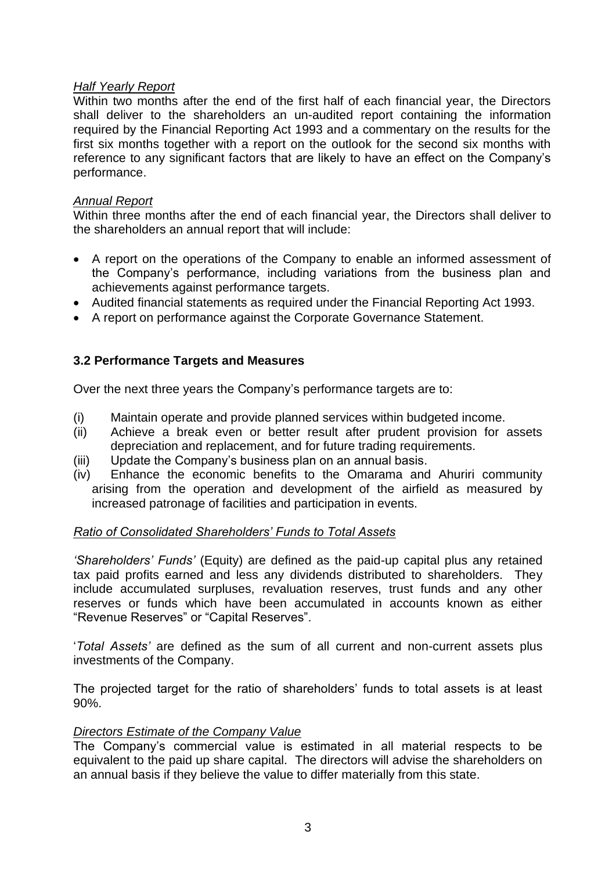# *Half Yearly Report*

Within two months after the end of the first half of each financial year, the Directors shall deliver to the shareholders an un-audited report containing the information required by the Financial Reporting Act 1993 and a commentary on the results for the first six months together with a report on the outlook for the second six months with reference to any significant factors that are likely to have an effect on the Company's performance.

#### *Annual Report*

Within three months after the end of each financial year, the Directors shall deliver to the shareholders an annual report that will include:

- A report on the operations of the Company to enable an informed assessment of the Company's performance, including variations from the business plan and achievements against performance targets.
- Audited financial statements as required under the Financial Reporting Act 1993.
- A report on performance against the Corporate Governance Statement.

# **3.2 Performance Targets and Measures**

Over the next three years the Company's performance targets are to:

- (i) Maintain operate and provide planned services within budgeted income.
- (ii) Achieve a break even or better result after prudent provision for assets depreciation and replacement, and for future trading requirements.
- (iii) Update the Company's business plan on an annual basis.
- (iv) Enhance the economic benefits to the Omarama and Ahuriri community arising from the operation and development of the airfield as measured by increased patronage of facilities and participation in events.

#### *Ratio of Consolidated Shareholders' Funds to Total Assets*

*'Shareholders' Funds'* (Equity) are defined as the paid-up capital plus any retained tax paid profits earned and less any dividends distributed to shareholders. They include accumulated surpluses, revaluation reserves, trust funds and any other reserves or funds which have been accumulated in accounts known as either "Revenue Reserves" or "Capital Reserves".

'*Total Assets'* are defined as the sum of all current and non-current assets plus investments of the Company.

The projected target for the ratio of shareholders' funds to total assets is at least 90%.

#### *Directors Estimate of the Company Value*

The Company's commercial value is estimated in all material respects to be equivalent to the paid up share capital. The directors will advise the shareholders on an annual basis if they believe the value to differ materially from this state.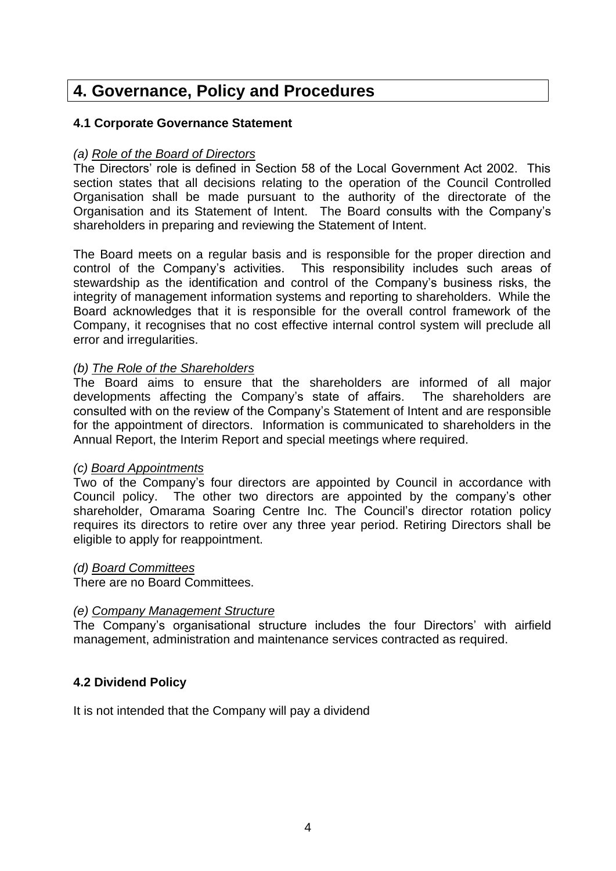# **4. Governance, Policy and Procedures**

#### **4.1 Corporate Governance Statement**

#### *(a) Role of the Board of Directors*

The Directors' role is defined in Section 58 of the Local Government Act 2002. This section states that all decisions relating to the operation of the Council Controlled Organisation shall be made pursuant to the authority of the directorate of the Organisation and its Statement of Intent. The Board consults with the Company's shareholders in preparing and reviewing the Statement of Intent.

The Board meets on a regular basis and is responsible for the proper direction and control of the Company's activities. This responsibility includes such areas of stewardship as the identification and control of the Company's business risks, the integrity of management information systems and reporting to shareholders. While the Board acknowledges that it is responsible for the overall control framework of the Company, it recognises that no cost effective internal control system will preclude all error and irregularities.

#### *(b) The Role of the Shareholders*

The Board aims to ensure that the shareholders are informed of all major developments affecting the Company's state of affairs. The shareholders are consulted with on the review of the Company's Statement of Intent and are responsible for the appointment of directors. Information is communicated to shareholders in the Annual Report, the Interim Report and special meetings where required.

#### *(c) Board Appointments*

Two of the Company's four directors are appointed by Council in accordance with Council policy. The other two directors are appointed by the company's other shareholder, Omarama Soaring Centre Inc. The Council's director rotation policy requires its directors to retire over any three year period. Retiring Directors shall be eligible to apply for reappointment.

#### *(d) Board Committees*

There are no Board Committees.

#### *(e) Company Management Structure*

The Company's organisational structure includes the four Directors' with airfield management, administration and maintenance services contracted as required.

# **4.2 Dividend Policy**

It is not intended that the Company will pay a dividend